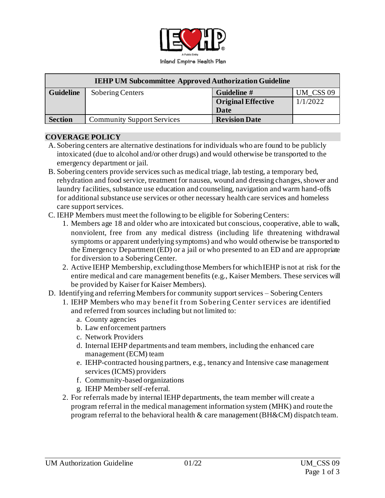

| <b>IEHP UM Subcommittee Approved Authorization Guideline</b> |                                   |                           |           |
|--------------------------------------------------------------|-----------------------------------|---------------------------|-----------|
| <b>Guideline</b>                                             | Sobering Centers                  | Guideline #               | UM_CSS 09 |
|                                                              |                                   | <b>Original Effective</b> | 1/1/2022  |
|                                                              |                                   | Date                      |           |
| <b>Section</b>                                               | <b>Community Support Services</b> | <b>Revision Date</b>      |           |

#### **COVERAGE POLICY**

- A. Sobering centers are alternative destinations for individuals who are found to be publicly intoxicated (due to alcohol and/or other drugs) and would otherwise be transported to the emergency department or jail.
- B. Sobering centers provide services such as medical triage, lab testing, a temporary bed, rehydration and food service, treatment for nausea, wound and dressing changes, shower and laundry facilities, substance use education and counseling, navigation and warm hand-offs for additional substance use services or other necessary health care services and homeless care support services.
- C. IEHP Members must meet the following to be eligible for Sobering Centers:
	- 1. Members age 18 and older who are intoxicated but conscious, cooperative, able to walk, nonviolent, free from any medical distress (including life threatening withdrawal symptoms or apparent underlying symptoms) and who would otherwise be transported to the Emergency Department (ED) or a jail or who presented to an ED and are appropriate for diversion to a Sobering Center.
	- 2. Active IEHP Membership, excludingthose Membersfor whichIEHP is not at risk for the entire medical and care management benefits (e.g., Kaiser Members. These services will be provided by Kaiser for Kaiser Members).
- D. Identifying and referring Members for community support services Sobering Centers
	- 1. IEHP Members who may benefit from Sobering Center services are identified and referred from sources including but not limited to:
		- a. County agencies
		- b. Law enforcement partners
		- c. Network Providers
		- d. Internal IEHP departments and team members, including the enhanced care management (ECM) team
		- e. IEHP-contracted housing partners, e.g., tenancy and Intensive case management services (ICMS) providers
		- f. Community-based organizations
		- g. IEHP Member self-referral.
	- 2. For referrals made by internal IEHP departments, the team member will create a program referral in the medical management information system (MHK) and route the program referral to the behavioral health & care management (BH&CM) dispatch team.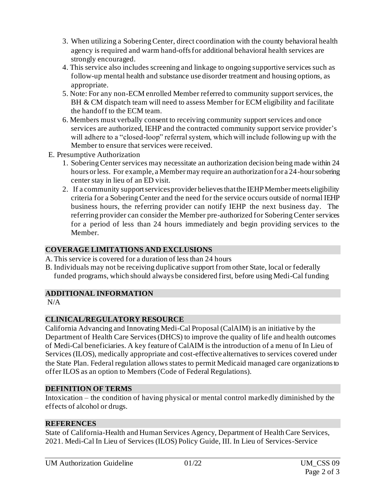- 3. When utilizing a Sobering Center, direct coordination with the county behavioral health agency is required and warm hand-offs for additional behavioral health services are strongly encouraged.
- 4. This service also includes screening and linkage to ongoing supportive services such as follow-up mental health and substance use disorder treatment and housing options, as appropriate.
- 5. Note: For any non-ECM enrolled Member referred to community support services, the BH & CM dispatch team will need to assess Member for ECM eligibility and facilitate the handoff to the ECM team.
- 6. Members must verbally consent to receiving community support services and once services are authorized, IEHP and the contracted community support service provider's will adhere to a "closed-loop" referral system, which will include following up with the Member to ensure that services were received.
- E. Presumptive Authorization
	- 1. Sobering Center services may necessitate an authorization decision being made within 24 hours or less. For example, a Member may require an authorization for a 24-hour sobering center stay in lieu of an ED visit.
	- 2. If a community support services provider believes that the IEHP Member meets eligibility criteria for a Sobering Center and the need for the service occurs outside of normal IEHP business hours, the referring provider can notify IEHP the next business day. The referring provider can consider the Member pre-authorized for Sobering Center services for a period of less than 24 hours immediately and begin providing services to the Member.

### **COVERAGE LIMITATIONS AND EXCLUSIONS**

- A.This service is covered for a duration of less than 24 hours
- B. Individuals may not be receiving duplicative support from other State, local or federally funded programs, which should always be considered first, before using Medi-Cal funding

# **ADDITIONAL INFORMATION**

 $N/A$ 

# **CLINICAL/REGULATORY RESOURCE**

California Advancing and Innovating Medi-Cal Proposal (CalAIM) is an initiative by the Department of Health Care Services (DHCS) to improve the quality of life and health outcomes of Medi-Cal beneficiaries. A key feature of CalAIM is the introduction of a menu of In Lieu of Services (ILOS), medically appropriate and cost-effective alternatives to services covered under the State Plan. Federal regulation allows states to permit Medicaid managed care organizations to offer ILOS as an option to Members (Code of Federal Regulations).

### **DEFINITION OF TERMS**

Intoxication – the condition of having physical or mental control markedly diminished by the effects of alcohol or drugs.

### **REFERENCES**

State of California-Health and Human Services Agency, Department of Health Care Services, 2021. Medi-Cal In Lieu of Services (ILOS) Policy Guide, III. In Lieu of Services-Service